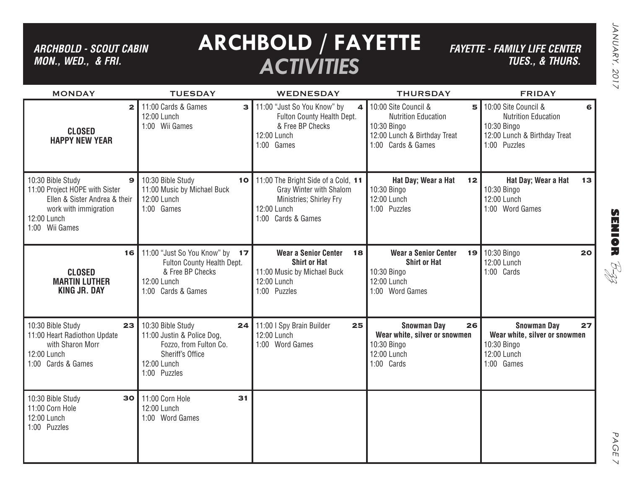*ARCHBOLD - SCOUT CABIN MON., WED., & FRI.*

# **ARCHBOLD / FAYETTE** *ACTIVITIES*

*FAYETTE - FAMILY LIFE CENTER TUES., & THURS.*

| <b>MONDAY</b>                                                                                                                                                  | <b>TUESDAY</b>                                                                                                                     | <b>WEDNESDAY</b>                                                                                                               | <b>THURSDAY</b>                                                                                                              | <b>FRIDAY</b>                                                                                                          |
|----------------------------------------------------------------------------------------------------------------------------------------------------------------|------------------------------------------------------------------------------------------------------------------------------------|--------------------------------------------------------------------------------------------------------------------------------|------------------------------------------------------------------------------------------------------------------------------|------------------------------------------------------------------------------------------------------------------------|
| $\mathbf{2}$<br><b>CLOSED</b><br><b>HAPPY NEW YEAR</b>                                                                                                         | 11:00 Cards & Games<br>$\mathbf{B}$<br>12:00 Lunch<br>1:00 Wii Games                                                               | 11:00 "Just So You Know" by<br>$\Delta$<br>Fulton County Health Dept.<br>& Free BP Checks<br>12:00 Lunch<br>1:00 Games         | 10:00 Site Council &<br>5<br><b>Nutrition Education</b><br>10:30 Bingo<br>12:00 Lunch & Birthday Treat<br>1:00 Cards & Games | 10:00 Site Council &<br>6<br><b>Nutrition Education</b><br>10:30 Bingo<br>12:00 Lunch & Birthday Treat<br>1:00 Puzzles |
| 10:30 Bible Study<br>$\mathbf{9}$<br>11:00 Project HOPE with Sister<br>Ellen & Sister Andrea & their<br>work with immigration<br>12:00 Lunch<br>1:00 Wii Games | 10:30 Bible Study<br>10<br>11:00 Music by Michael Buck<br>12:00 Lunch<br>1:00 Games                                                | 11:00 The Bright Side of a Cold, 11<br>Gray Winter with Shalom<br>Ministries; Shirley Fry<br>12:00 Lunch<br>1:00 Cards & Games | Hat Day; Wear a Hat<br>12<br>10:30 Bingo<br>12:00 Lunch<br>1:00 Puzzles                                                      | Hat Day; Wear a Hat<br>13<br>10:30 Bingo<br>12:00 Lunch<br>1:00 Word Games                                             |
| 16<br><b>CLOSED</b><br><b>MARTIN LUTHER</b><br><b>KING JR. DAY</b>                                                                                             | 11:00 "Just So You Know" by 17<br>Fulton County Health Dept.<br>& Free BP Checks<br>12:00 Lunch<br>1:00 Cards & Games              | <b>Wear a Senior Center</b><br>18<br><b>Shirt or Hat</b><br>11:00 Music by Michael Buck<br>12:00 Lunch<br>1:00 Puzzles         | <b>Wear a Senior Center</b><br>19<br><b>Shirt or Hat</b><br>10:30 Bingo<br>12:00 Lunch<br>1:00 Word Games                    | 10:30 Bingo<br>20<br>12:00 Lunch<br>1:00 Cards                                                                         |
| 10:30 Bible Study<br>23<br>11:00 Heart Radiothon Update<br>with Sharon Morr<br>12:00 Lunch<br>1:00 Cards & Games                                               | 10:30 Bible Study<br>24<br>11:00 Justin & Police Dog,<br>Fozzo, from Fulton Co.<br>Sheriff's Office<br>12:00 Lunch<br>1:00 Puzzles | 11:00 I Spy Brain Builder<br>25<br>12:00 Lunch<br>1:00 Word Games                                                              | <b>Snowman Day</b><br>26<br>Wear white, silver or snowmen<br>10:30 Bingo<br>12:00 Lunch<br>1:00 Cards                        | <b>Snowman Day</b><br>27<br>Wear white, silver or snowmen<br>10:30 Bingo<br>12:00 Lunch<br>1:00 Games                  |
| 10:30 Bible Study<br>30<br>11:00 Corn Hole<br>12:00 Lunch<br>1:00 Puzzles                                                                                      | 11:00 Corn Hole<br>31<br>12:00 Lunch<br>1:00 Word Games                                                                            |                                                                                                                                |                                                                                                                              |                                                                                                                        |

**SENIOR** B-zz

> PAGE PAGE 7  $\vee$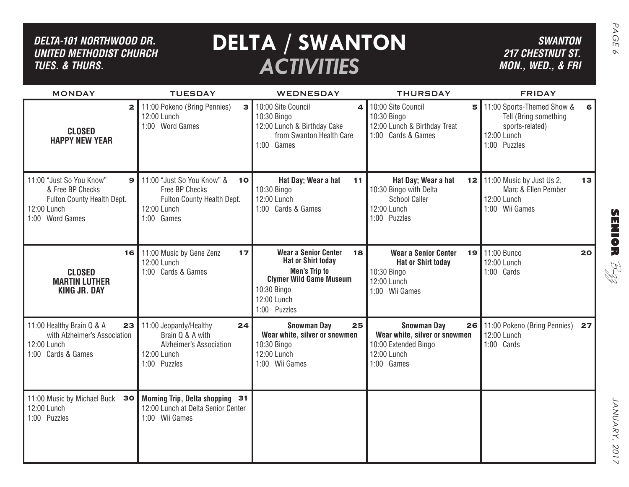| DELTA-101 NORTHWOOD DR.<br><b>UNITED METHODIST CHURCH</b><br><b>TUES. &amp; THURS.</b>                                       |                                                                                                               | <b>DELTA / SWANTON</b><br><b>ACTIVITIES</b>                                                                                                                            |                                                                                                                  | <b>SWANTON</b><br><b>217 CHESTNUT ST.</b><br>MON., WED., & FRI                                        | PAGE<br>$\infty$ |
|------------------------------------------------------------------------------------------------------------------------------|---------------------------------------------------------------------------------------------------------------|------------------------------------------------------------------------------------------------------------------------------------------------------------------------|------------------------------------------------------------------------------------------------------------------|-------------------------------------------------------------------------------------------------------|------------------|
| <b>MONDAY</b>                                                                                                                | <b>TUESDAY</b>                                                                                                | WEDNESDAY                                                                                                                                                              | <b>THURSDAY</b>                                                                                                  | <b>FRIDAY</b>                                                                                         |                  |
| $\mathbf{2}$<br><b>CLOSED</b><br><b>HAPPY NEW YEAR</b>                                                                       | 11:00 Pokeno (Bring Pennies)<br>$\mathbf{B}$<br>12:00 Lunch<br>1:00 Word Games                                | 10:00 Site Council<br>4<br>10:30 Bingo<br>12:00 Lunch & Birthday Cake<br>from Swanton Health Care<br>1:00 Games                                                        | 10:00 Site Council<br>5<br>10:30 Bingo<br>12:00 Lunch & Birthday Treat<br>1:00 Cards & Games                     | 11:00 Sports-Themed Show &<br>Tell (Bring something<br>sports-related)<br>12:00 Lunch<br>1:00 Puzzles |                  |
| 11:00 "Just So You Know"<br>$\mathbf{9}$<br>& Free BP Checks<br>Fulton County Health Dept.<br>12:00 Lunch<br>1:00 Word Games | 11:00 "Just So You Know" &<br>10<br>Free BP Checks<br>Fulton County Health Dept.<br>12:00 Lunch<br>1:00 Games | Hat Day; Wear a hat<br>11<br>10:30 Bingo<br>12:00 Lunch<br>1:00 Cards & Games                                                                                          | Hat Day; Wear a hat<br>10:30 Bingo with Delta<br><b>School Caller</b><br>12:00 Lunch<br>1:00 Puzzles             | <b>12</b> 11:00 Music by Just Us 2,<br>13<br>Marc & Ellen Pember<br>12:00 Lunch<br>1:00 Wii Games     | <b>SENSOR</b>    |
| 16<br><b>CLOSED</b><br><b>MARTIN LUTHER</b><br><b>KING JR. DAY</b>                                                           | 11:00 Music by Gene Zenz<br>17<br>12:00 Lunch<br>1:00 Cards & Games                                           | <b>Wear a Senior Center</b><br>18<br><b>Hat or Shirt today</b><br><b>Men's Trip to</b><br><b>Clymer Wild Game Museum</b><br>10:30 Bingo<br>12:00 Lunch<br>1:00 Puzzles | <b>Wear a Senior Center</b><br>19 l<br><b>Hat or Shirt today</b><br>10:30 Bingo<br>12:00 Lunch<br>1:00 Wii Games | 11:00 Bunco<br>20<br>12:00 Lunch<br>1:00 Cards                                                        | RI<br>R          |
| 11:00 Healthy Brain Q & A<br>23<br>with Alzheimer's Association<br>12:00 Lunch<br>1:00 Cards & Games                         | 11:00 Jeopardy/Healthy<br>24<br>Brain Q & A with<br>Alzheimer's Association<br>12:00 Lunch<br>1:00 Puzzles    | <b>Snowman Day</b><br>25<br>Wear white, silver or snowmen<br>10:30 Bingo<br>12:00 Lunch<br>1:00 Wii Games                                                              | <b>Snowman Day</b><br>26<br>Wear white, silver or snowmen<br>10:00 Extended Bingo<br>12:00 Lunch<br>1:00 Games   | 11:00 Pokeno (Bring Pennies)<br>27<br>12:00 Lunch<br>1:00 Cards                                       |                  |
| 11:00 Music by Michael Buck<br>30<br>12:00 Lunch<br>1:00 Puzzles                                                             | Morning Trip, Delta shopping 31<br>12:00 Lunch at Delta Senior Center<br>1:00 Wii Games                       |                                                                                                                                                                        |                                                                                                                  |                                                                                                       | JANUARY, 2017    |